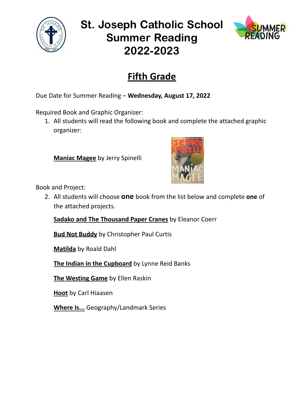

## St. Joseph Catholic School Summer Reading 2022-2023



## **Fifth Grade**

Due Date for Summer Reading – **Wednesday, August 17, 2022**

Required Book and Graphic Organizer:

1. All students will read the following book and complete the attached graphic organizer:

**Maniac Magee** by Jerry Spinelli



Book and Project:

2. All students will choose **one** book from the list below and complete **one** of the attached projects.

**Sadako and The Thousand Paper Cranes** by Eleanor Coerr

**Bud Not Buddy** by Christopher Paul Curtis

**Matilda** by Roald Dahl

**The Indian in the Cupboard** by Lynne Reid Banks

**The Westing Game** by Ellen Raskin

**Hoot** by Carl Hiaasen

**Where Is...** Geography/Landmark Series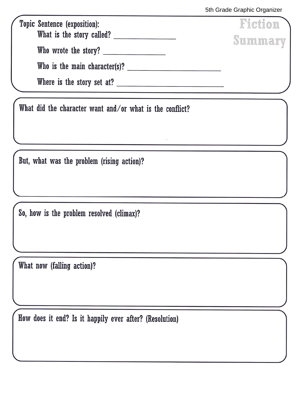Fiction Topic Sentence (exposition): Summary Who wrote the story? 

What did the character want and/or what is the conflict?

But, what was the problem (rising action)?

So, how is the problem resolved (climax)?

What now (falling action)?

How does it end? Is it happily ever after? (Resolution)